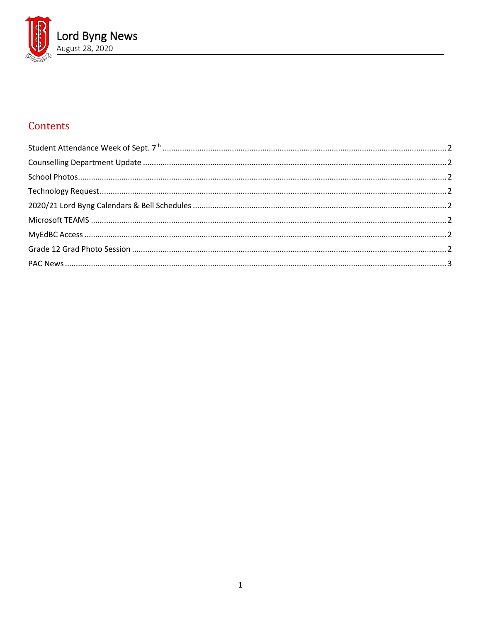

# Contents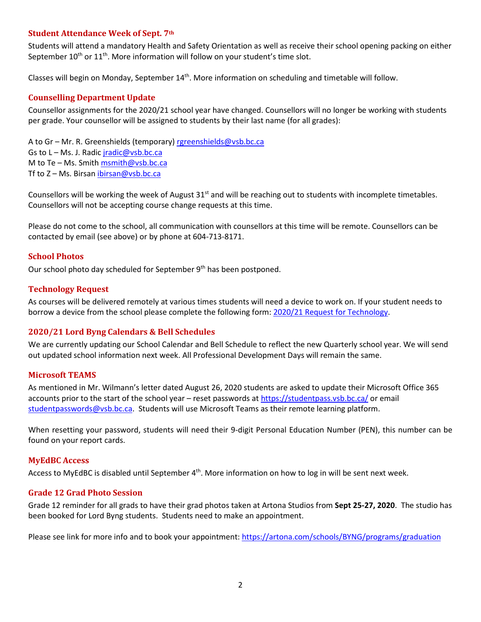#### <span id="page-1-0"></span>**Student Attendance Week of Sept. 7th**

Students will attend a mandatory Health and Safety Orientation as well as receive their school opening packing on either September  $10^{th}$  or  $11^{th}$ . More information will follow on your student's time slot.

<span id="page-1-1"></span>Classes will begin on Monday, September 14<sup>th</sup>. More information on scheduling and timetable will follow.

## **Counselling Department Update**

Counsellor assignments for the 2020/21 school year have changed. Counsellors will no longer be working with students per grade. Your counsellor will be assigned to students by their last name (for all grades):

A to Gr – Mr. R. Greenshields (temporary) [rgreenshields@vsb.bc.ca](mailto:rgreenshields@vsb.bc.ca) Gs to L – Ms. J. Radic *[jradic@vsb.bc.ca](mailto:jradic@vsb.bc.ca)* M to Te - Ms. Smit[h msmith@vsb.bc.ca](mailto:msmith@vsb.bc.ca) Tf to Z - Ms. Birsan [ibirsan@vsb.bc.ca](mailto:ibirsan@vsb.bc.ca)

Counsellors will be working the week of August  $31<sup>st</sup>$  and will be reaching out to students with incomplete timetables. Counsellors will not be accepting course change requests at this time.

Please do not come to the school, all communication with counsellors at this time will be remote. Counsellors can be contacted by email (see above) or by phone at 604-713-8171.

## <span id="page-1-2"></span>**School Photos**

<span id="page-1-3"></span>Our school photo day scheduled for September  $9<sup>th</sup>$  has been postponed.

## **Technology Request**

As courses will be delivered remotely at various times students will need a device to work on. If your student needs to borrow a device from the school please complete the following form: [2020/21 Request for Technology.](https://forms.office.com/Pages/ResponsePage.aspx?id=WC6KCzB7CEq6t9dVWeDjpcU6_SJBxJFAvnYu4EP3zdBUQjczVkhOWkdMRkk3S0IwWUpOMUszVlVUVC4u)

# <span id="page-1-4"></span>**2020/21 Lord Byng Calendars & Bell Schedules**

We are currently updating our School Calendar and Bell Schedule to reflect the new Quarterly school year. We will send out updated school information next week. All Professional Development Days will remain the same.

#### <span id="page-1-5"></span>**Microsoft TEAMS**

As mentioned in Mr. Wilmann's letter dated August 26, 2020 students are asked to update their Microsoft Office 365 accounts prior to the start of the school year – reset passwords at<https://studentpass.vsb.bc.ca/> or email [studentpasswords@vsb.bc.ca.](mailto:studentpasswords@vsb.bc.ca) Students will use Microsoft Teams as their remote learning platform.

When resetting your password, students will need their 9-digit Personal Education Number (PEN), this number can be found on your report cards.

#### <span id="page-1-6"></span>**MyEdBC Access**

<span id="page-1-7"></span>Access to MyEdBC is disabled until September 4<sup>th</sup>. More information on how to log in will be sent next week.

#### **Grade 12 Grad Photo Session**

Grade 12 reminder for all grads to have their grad photos taken at Artona Studios from **Sept 25-27, 2020**. The studio has been booked for Lord Byng students. Students need to make an appointment.

Please see link for more info and to book your appointment:<https://artona.com/schools/BYNG/programs/graduation>